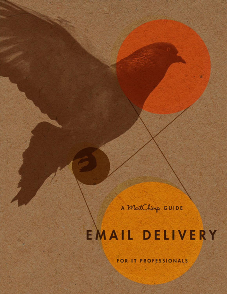A MailChimp GUIDE

# EMAIL DELIVERY

FOR IT PROFESSIONALS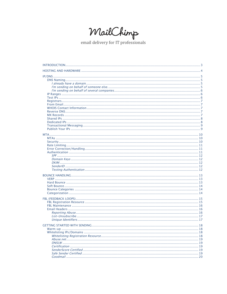MailChimp

email delivery for IT professionals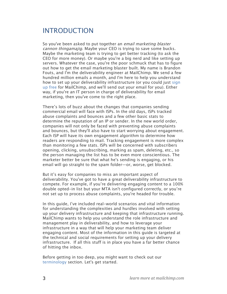# INTRODUCTION

So you've been asked to put together an email marketing blaster cannon thingamajig. Maybe your CEO is trying to save some bucks. Maybe the marketing team is trying to get better tracking (to ask the CEO for more money). Or maybe you're a big nerd and like setting up servers. Whatever the case, you're the poor schmuck that has to figure out how to get the email marketing blaster built. My name is Brandon Fouts, and I'm the deliverability engineer at MailChimp. We send a few hundred million emails a month, and I'm here to help you understand how to set up your deliverability infrastructure (or you could just [sign](http://www.mailchimp.com)  [up free](http://www.mailchimp.com) for MailChimp, and we'll send out your email for you). Either way, if you're an IT person in charge of deliverability for email marketing, then you've come to the right place.

There's lots of buzz about the changes that companies sending commercial email will face with ISPs. In the old days, ISPs tracked abuse complaints and bounces and a few other basic stats to determine the reputation of an IP or sender. In the new world order, companies will not only be faced with preventing abuse complaints and bounces, but they'll also have to start worrying about engagement. Each ISP will have its own engagement algorithm to determine how readers are responding to mail. Tracking engagement is more complex than monitoring a few stats. ISPs will be concerned with subscribers opening, clicking, unsubscribing, marking as spam, deleting, etc., so the person managing the list has to be even more conscientious. The marketer better be sure that what he's sending is engaging, or his email will go straight to the spam folder—or, worse, get blocked.

But it's easy for companies to miss an important aspect of deliverability. You've got to have a great deliverability infrastructure to compete. For example, if you're delivering engaging content to a 100% double opted-in list but your MTA isn't configured correctly, or you're not set up to process abuse complaints, you're headed for trouble.

In this guide, I've included real-world scenarios and vital information for understanding the complexities and hurdles involved with setting up your delivery infrastructure and keeping that infrastructure running. MailChimp wants to help you understand the role infrastructure and management play in deliverability, and how to leverage your infrastructure in a way that will help your marketing team deliver engaging content. Most of the information in this guide is targeted at the technical and social requirements for setting up your delivery infrastructure. If all this stuff is in place you have a far better chance of hitting the inbox.

Before getting in too deep, you might want to check out our [terminology](#page-32-0) section. Let's get started.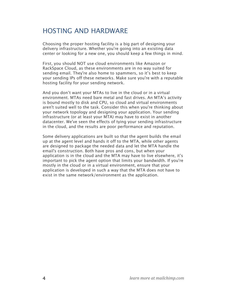# HOSTING AND HARDWARE

Choosing the proper hosting facility is a big part of designing your delivery infrastructure. Whether you're going into an existing data center or looking for a new one, you should keep a few things in mind.

First, you should NOT use cloud environments like Amazon or RackSpace Cloud, as these environments are in no way suited for sending email. They're also home to spammers, so it's best to keep your sending IPs off these networks. Make sure you're with a reputable hosting facility for your sending network.

And you don't want your MTAs to live in the cloud or in a virtual environment. MTAs need bare metal and fast drives. An MTA's activity is bound mostly to disk and CPU, so cloud and virtual environments aren't suited well to the task. Consider this when you're thinking about your network topology and designing your application. Your sending infrastructure (or at least your MTA) may have to exist in another datacenter. We've seen the effects of tying your sending infrastructure in the cloud, and the results are poor performance and reputation.

Some delivery applications are built so that the agent builds the email up at the agent level and hands it off to the MTA, while other agents are designed to package the needed data and let the MTA handle the email's construction. Both have pros and cons, but when your application is in the cloud and the MTA may have to live elsewhere, it's important to pick the agent option that limits your bandwidth. If you're mostly in the cloud or in a virtual environment, ensure that your application is developed in such a way that the MTA does not have to exist in the same network/environment as the application.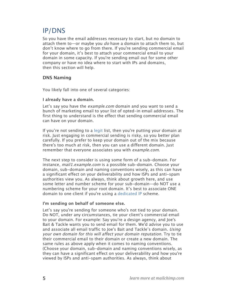# IP/DNS

So you have the email addresses necessary to start, but no domain to attach them to—or maybe you *do* have a domain to attach them to, but don't know where to go from there. If you're sending commercial email for your domain, it's best to attach your commercial email to your domain in some capacity. If you're sending email out for some other company or have no idea where to start with IPs and domains, then this section will help.

# **DNS Naming**

You likely fall into one of several categories:

## **I already have a domain.**

Let's say you have the *example.com* domain and you want to send a bunch of marketing email to your list of opted-in email addresses. The first thing to understand is the effect that sending commercial email can have on your domain.

If you're not sending to a [legit](http://www.mailchimp.com/articles/list-okay/) list, then you're putting your domain at risk. Just engaging in commercial sending is risky, so you better plan carefully. If you prefer to keep your domain out of the mix because there's too much at risk, then you can use a different domain. Just remember that everyone associates you with example.com.

The next step to consider is using some form of a sub-domain. For instance, mail1.example.com is a possible sub-domain. Choose your domain, sub-domain and naming conventions wisely, as this can have a significant effect on your deliverability and how ISPs and anti-spam authorities view you. As always, think about growth here, and use some letter and number scheme for your sub-domain—do NOT use a numbering scheme for your root domain. It's best to associate ONE domain to one client if you're using a [dedicated IP](http://www.mailchimp.com/blog/should-you-send-from-a-dedicated-ip-address/) scheme.

# **I'm sending on behalf of someone else.**

Let's say you're sending for someone who's not tied to your domain. Do NOT, under any circumstances, tie your client's commercial email to your domain. For example: Say you're a design agency, and Joe's Bait & Tackle wants you to send email for them. We'd advise you to use and associate all email traffic to loe's Bait and Tackle's domain. Using your own domain for this will affect your domain reputation. Try to tie their commercial email to their domain or create a new domain. The same rules as above apply when it comes to naming conventions. (Choose your domain, sub-domain and naming conventions wisely, as they can have a significant effect on your deliverability and how you're viewed by ISPs and anti-spam authorities. As always, think about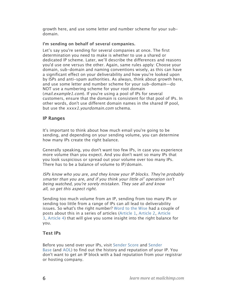growth here, and use some letter and number scheme for your subdomain.

### **I'm sending on behalf of several companies.**

Let's say you're sending for several companies at once. The first determination you need to make is whether to use a shared or dedicated IP scheme. Later, we'll describe the differences and reasons you'd use one versus the other. Again, same rules apply: Choose your domain, sub-domain and naming conventions wisely, as this can have a significant effect on your deliverability and how you're looked upon by ISPs and anti-spam authorities. As always, think about growth here, and use some letter and number scheme for your sub-domain—do NOT use a numbering scheme for your root domain (mail.example1.com). If you're using a pool of IPs for several customers, ensure that the domain is consistent for that pool of IPs. In other words, don't use different domain names in the shared IP pool, but use the xxxx1.yourdomain.com schema.

# **IP Ranges**

It's important to think about how much email you're going to be sending, and depending on your sending volume, you can determine how many IPs create the right balance.

Generally speaking, you don't want too few IPs, in case you experience more volume than you expect. And you don't want so many IPs that you look suspicious or spread out your volume over too many IPs. There has to be a balance of volume to IP/domain.

ISPs know who you are, and they know your IP blocks. They're probably smarter than you are, and if you think your little ol' operation isn't being watched, you're sorely mistaken. They see all and know all, so get this aspect right.

Sending too much volume from an IP, sending from too many IPs or sending too little from a range of IPs can all lead to deliverability issues. So what's the right number? [Word to the Wise](http://blog.wordtothewise.com/2009/10/why-do-you-need-so-many-ip-addresses/) had a couple of posts about this in a series of articles [\(Article 1](http://blog.wordtothewise.com/2009/10/why-do-you-need-so-many-ip-addresses/), [Article 2](http://blog.wordtothewise.com/2009/10/why-do-esps-need-so-many-ip-addresses/), [Article](http://blog.wordtothewise.com/2009/11/i-need-ip-addresses-for-reputation/)  [3](http://blog.wordtothewise.com/2009/11/i-need-ip-addresses-for-reputation/), Article 4) that will give you some insight into the right balance for you.

# **Test IPs**

Before you send over your IPs, visit [Sender Score](https://senderscore.org/) and [Sender](http://www.senderbase.org/)  [Base](http://www.senderbase.org/) (and [AOL\)](http://postmaster.aol.com/cgi-bin/plugh/check_ip.pl) to find out the history and reputation of your IP. You don't want to get an IP block with a bad reputation from your registrar or hosting company.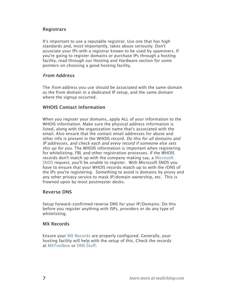## **Registrars**

It's important to use a reputable registrar. Use one that has high standards and, most importantly, takes abuse seriously. Don't associate your IPs with a registrar known to be used by spammers. If you're going to register domains or purchase IPs through a hosting facility, read through our Hosting and Hardware section for some pointers on choosing a good hosting facility.

## **From Address**

The *from* address you use should be associated with the same domain as the from domain in a dedicated IP setup, and the same domain where the signup occurred.

# **WHOIS Contact Information**

When you register your domains, apply ALL of your information to the WHOIS information. Make sure the physical address information is listed, along with the organization name that's associated with the email. Also ensure that the contact email addresses for abuse and other info is present in the WHOIS record. Do this for all domains and IP addresses, and check each and every record if someone else sets this up for you. The WHOIS information is important when registering for whitelisting, FBL and other registration processes. If the WHOIS records don't match up with the company making say, a [Microsoft](https://postmaster.live.com/snds/index.aspx)  [SNDS](https://postmaster.live.com/snds/index.aspx) request, you'll be unable to register. With Microsoft SNDS you have to ensure that your WHOIS records match up to with the rDNS of the IPs you're registering. Something to avoid is domains by proxy and any other privacy service to mask IP/domain ownership, etc. This is frowned upon by most postmaster desks.

### **Reverse DNS**

Setup forward-confirmed reverse DNS for your IP/Domains. Do this before you register anything with ISPs, providers or do any type of whitelisting.

### **MX Records**

Ensure your [MX Records](http://en.wikipedia.org/wiki/MX_record) are properly configured. Generally, your hosting facility will help with the setup of this. Check the records at [MXToolbox](http://mxtoolbox.com/) or [DNS Stuff](http://www.dnsstuff.com/tools/).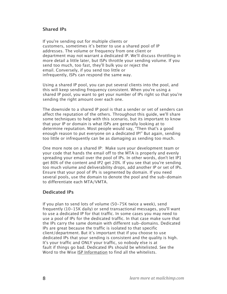## **Shared IPs**

If you're sending out for multiple clients or customers, sometimes it's better to use a shared pool of IP addresses. The volume or frequency from one client or department may not warrant a dedicated IP. We'll discuss throttling in more detail a little later, but ISPs throttle your sending volume. If you send too much, too fast, they'll bulk you or reject the email. Conversely, if you send too little or infrequently, ISPs can respond the same way.

Using a shared IP pool, you can put several clients into the pool, and this will keep sending frequency consistent. When you're using a shared IP pool, you want to get your number of IPs right so that you're sending the right amount over each one.

The downside to a shared IP pool is that a sender or set of senders can affect the reputation of the others. Throughout this guide, we'll share some techniques to help with this scenario, but its important to know that your IP or domain is what ISPs are generally looking at to determine reputation. Most people would say, "Then that's a good enough reason to put everyone on a dedicated IP!" But again, sending too little or infrequently can be as damaging as sending too much.

One more note on a shared IP: Make sure your development team or your code that hands the email off to the MTA is properly and evenly spreading your email over the pool of IPs. In other words, don't let IP1 get 80% of the content and IP2 get 20%. If you see that you're sending too much volume and deliverability drops, add another IP or set of IPs. Ensure that your pool of IPs is segmented by domain. If you need several pools, use the domain to denote the pool and the sub-domain to differentiate each MTA/VMTA.

# **Dedicated IPs**

If you plan to send lots of volume (50-75K twice a week), send frequently (10-15K daily) or send transactional messages, you'll want to use a dedicated IP for that traffic. In some cases you may need to use a pool of IPs for the dedicated traffic. In that case make sure that the IPs carry the same domain with different sub-domains. Dedicated IPs are great because the traffic is isolated to that specific client/department. But it's important that if you choose to use dedicated IPs that your sending is consistent and the quality is high. It's your traffic and ONLY your traffic, so nobody else is at fault if things go bad. Dedicated IPs should be whitelisted. See the Word to the Wise ISP Information to find all the whitelists.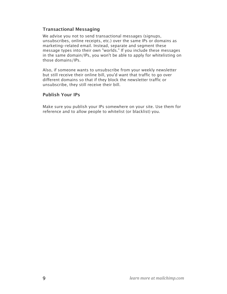# **Transactional Messaging**

We advise you not to send transactional messages (signups, unsubscribes, online receipts, etc.) over the same IPs or domains as marketing-related email. Instead, separate and segment these message types into their own "worlds." If you include these messages in the same domain/IPs, you won't be able to apply for whitelisting on those domains/IPs.

Also, if someone wants to unsubscribe from your weekly newsletter but still receive their online bill, you'd want that traffic to go over different domains so that if they block the newsletter traffic or unsubscribe, they still receive their bill.

### **Publish Your IPs**

Make sure you publish your IPs somewhere on your site. Use them for reference and to allow people to whitelist (or blacklist) you.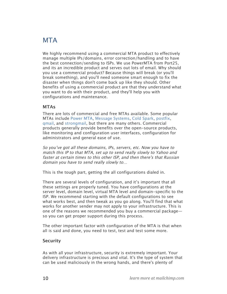# MTA

We highly recommend using a commercial MTA product to effectively manage multiple IPs/domains, error correction/handling and to have the best connection/sending to ISPs. We use PowerMTA from Port25, and its an incredible product and serves out lots of email. Why should you use a commercial product? Because things will break (or you'll break something), and you'll need someone smart enough to fix the disaster when things don't come back up like they should. Other benefits of using a commercial product are that they understand what you want to do with their product, and they'll help you with configurations and maintenance.

# **MTAs**

There are lots of commercial and free MTAs available. Some popular MTAs include [Power MTA](http://port25.com/), [Message Systems](http://www.messagesystems.com/), [Cold Spark](http://www.coldspark.com/), [postfix](http://www.postfix.org/), [qmail,](http://www.qmail.org/top.html) and [strongmail,](http://www.strongmail.com/solutions/technology/commercial-mta.php) but there are many others. Commercial products generally provide benefits over the open-source products, like monitoring and configuration user interfaces, configuration for administrators and general ease of use.

So you've got all these domains, IPs, servers, etc. Now you have to match this IP to that MTA, set up to send really slowly to Yahoo and faster at certain times to this other ISP, and then there's that Russian domain you have to send really slowly to…

This is the tough part, getting the all configurations dialed in.

There are several levels of configuration, and it's important that all these settings are properly tuned. You have configurations at the server level, domain level, virtual MTA level and domain-specific to the ISP. We recommend starting with the default configurations to see what works best, and then tweak as you go along. You'll find that what works for another sender may not apply to your infrastructure. This is one of the reasons we recommended you buy a commercial package so you can get proper support during this process.

The other important factor with configuration of the MTA is that when all is said and done, you need to test, test and test some more.

# **Security**

As with all your infrastructure, security is extremely important. Your delivery infrastructure is precious and vital. It's the type of system that can be used maliciously in the wrong hands, and there's plenty of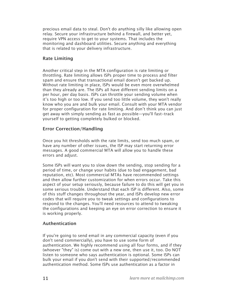precious email data to steal. Don't do anything silly like allowing open relay. Secure your infrastructure behind a firewall, and better yet, require VPN access to get to your systems. That includes the monitoring and dashboard utilities. Secure anything and everything that is related to your delivery infrastructure.

# **Rate Limiting**

Another critical step in the MTA configuration is rate limiting or throttling. Rate limiting allows ISPs proper time to process and filter spam and ensure that transactional email doesn't get backed up. Without rate limiting in place, ISPs would be even more overwhelmed than they already are. The ISPs all have different sending limits on a per hour, per day basis. ISPs can throttle your sending volume when it's too high or too low. If you send too little volume, they won't really know who you are and bulk your email. Consult with your MTA vendor for proper configuration for rate limiting. And don't think you can just get away with simply sending as fast as possible—you'll fast-track yourself to getting completely bulked or blocked.

# **Error Correction/Handling**

Once you hit thresholds with the rate limits, send too much spam, or have any number of other issues, the ISP may start returning error messages. A good commercial MTA will allow you to handle these errors and adjust.

Some ISPs will want you to slow down the sending, stop sending for a period of time, or change your habits (due to bad engagement, bad reputation, etc). Most commercial MTAs have recommended settings and then allow further customization for when errors occur. Take this aspect of your setup seriously, because failure to do this will get you in some serious trouble. Understand that each ISP is different. Also, some of this stuff changes throughout the year, and ISPs develop new error codes that will require you to tweak settings and configurations to respond to the changes. You'll need resources to attend to tweaking the configurations and keeping an eye on error correction to ensure it is working properly.

# **Authentication**

If you're going to send email in any commercial capacity (even if you don't send commercially), you have to use some form of authentication. We highly recommend using all four forms, and if they (whoever "they" is) come out with a new one, then use it, too. Do NOT listen to someone who says authentication is optional. Some ISPs can bulk your email if you don't send with their supported/recommended authentication method. Some ISPs use authentication as a factor in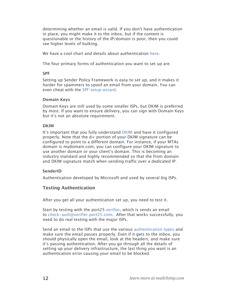determining whether an email is valid. If you don't have authentication in place, you might make it to the inbox, but if the content is questionable or the history of the IP/domain is poor, then you could see higher levels of bulking.

We have a cool chart and details about authentication here.

The four primary forms of authentication you want to set up are:

#### **SPF**

Setting up Sender Policy Framework is easy to set up, and it makes it harder for spammers to spoof an email from your domain. You can even cheat with the [SPF setup wizard.](http://old.openspf.org/wizard.html)

#### **Domain Keys**

Domain Keys are still used by some smaller ISPs, but DKIM is preferred by most. If you want to ensure delivery, you can sign with Domain Keys but it's not an absolute requirement.

### **DKIM**

It's important that you fully understand [DKIM](http://dkim.org/) and have it configured properly. Note that the d= portion of your DKIM signature can be configured to point to a different domain. For instance, if your MTAs domain is mydomain.com, you can configure your DKIM signature to use another domain or your client's domain. This is becoming an industry standard and highly recommended so that the from domain and DKIM signature match when sending traffic over a dedicated IP.

### **SenderID**

Authentication developed by Microsoft and used by several big ISPs.

# **Testing Authentication**

After you get all your authentication set up, you need to test it.

Start by testing with the port25 [verifier,](http://www.port25.com/domainkeys/) which is sends an email to check-auth@verifier.port25.com. After that works successfully, you need to do real testing with the major ISPs.

Send an email to the ISPs that use the various [authentication types](http://www.mailchimp.com/page/authentication/) and make sure the email passes properly. Even if it gets to the inbox, you should physically open the email, look at the headers, and make sure it's passing authentication. After you go through all the details of setting up your delivery infrastructure, the last thing you want is an authentication error causing your email to be blocked.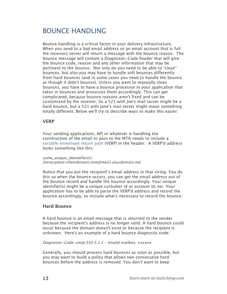# BOUNCE HANDLING

Bounce handling is a critical factor in your delivery infrastructure. When you send to a bad email address or an email account that is full the receivers server will return a message with the bounce reason. The bounce message will contain a Diagnostic-Code header that will give the bounce code, reason and any other information that may be pertinent to the bounce. Not only do you need to be able to "clean" bounces, but also you may have to handle soft bounces differently from hard bounces (and in some cases you need to handle the bounce as though it didn't bounce). Unless you want to manually clean bounces, you have to have a bounce processor in your application that takes in bounces and processes them accordingly. This can get complicated, because bounce reasons aren't fixed and can be customized by the receiver. So a 521 with Joe's mail server might be a hard bounce, but a 521 with Jane's mail server might mean something totally different. Below we'll try to describe ways to make this easier:

# **VERP**

Your sending applications, API or whatever is handling the construction of the email to pass to the MTA needs to include a [variable envenlope return path](http://en.wikipedia.org/wiki/Variable_envelope_return_path) (VERP) in the header. A VERP'd address looks something like this:

some unique identiefier(s)therecipient=theirdomain.com@mail1.yourdomain.net

Notice that you put the recipient's email address in that string. You do this so when the bounce occurs, you can get the email address out of the bounce record and handle the bounce accordingly. Your unique identifier(s) might be a unique customer id or account id, etc. Your application has to be able to parse the VERP'd address and record the bounce accordingly, so include what's necessary to record the bounce.

# **Hard Bounce**

A hard bounce is an email message that is returned to the sender because the recipient's address is no longer valid. A hard bounce could occur because the domain doesn't exist or because the recipient is unknown. Here's an example of a hard bounce diagnostic code:

#### Diagnostic-Code: smtp;550 5.1.1 - Invalid mailbox: xxxxxx

Generally, you should process hard bounces as soon as possible, but you may want to build a policy that allows two consecutive hard bounces before the address is removed. You don't want to keep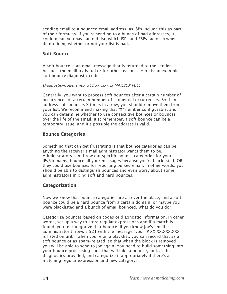sending email to a bounced email address, as ISPs include this as part of their formulas. If you're sending to a bunch of bad addresses, it could mean you have an old list, which ISPs and ESPs factor in when determining whether or not your list is bad.

## **Soft Bounce**

A soft bounce is an email message that is returned to the sender because the mailbox is full or for other reasons. Here is an example soft bounce diagnostic code:

Diagnostic-Code: smtp; 552 xxxxxxxx MAILBOX FULL

Generally, you want to process soft bounces after a certain number of occurrences or a certain number of sequential occurrences. So if an address soft bounces X times in a row, you should remove them from your list. We recommend making that "X" number configurable, and you can determine whether to use consecutive bounces or bounces over the life of the email. Just remember, a soft bounce can be a temporary issue, and it's possible the address is valid.

## **Bounce Categories**

Something that can get frustrating is that bounce categories can be anything the receiver's mail administrator wants them to be. Administrators can throw out specific bounce categories for your IPs/domains, bounce all your messages because you're blacklisted, OR they could use bounces for reporting bulked email. In other words, you should be able to distinguish bounces and even worry about some administrators mixing soft and hard bounces.

# **Categorization**

Now we know that bounce categories are all over the place, and a soft bounce could be a hard bounce from a certain domain, or maybe you were blacklisted and a bunch of email bounced. What do you do?

Categorize bounces based on codes or diagnostic information. In other words, set up a way to store regular expressions and if a match is found, you re-categorize that bounce. If you know Joe's email administrator throws a 521 with the message "your IP XX.XX.XXX.XXX is listed on uribl" when you're on a blacklist, you can record that as a soft bounce or as spam-related, so that when the block is removed you will be able to send to Joe again. You need to build something into your bounce processing code that will take a bounce, look at the diagnostics provided, and categorize it appropriately if there's a matching regular expression and new category.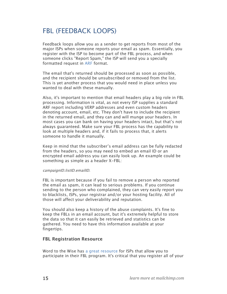# FBL (FEEDBACK LOOPS)

Feedback loops allow you as a sender to get reports from most of the major ISPs when someone reports your email as spam. Essentially, you register with the ISP to become part of the FBL process, and when someone clicks "Report Spam," the ISP will send you a specially formatted request in [ARF](http://wordtothewise.com/resources/annotatedsample.html) format.

The email that's returned should be processed as soon as possible, and the recipient should be unsubscribed or removed from the list. This is yet another process that you would need in place unless you wanted to deal with these manually.

Also, it's important to mention that email headers play a big role in FBL processing. Information is vital, as not every ISP supplies a standard ARF report including VERP addresses and even custom headers denoting account, email, etc. They don't have to include the recipient in the returned email, and they can and will munge your headers. In most cases you can bank on having your headers intact, but that's not always guaranteed. Make sure your FBL process has the capability to look at multiple headers and, if it fails to process that, it alerts someone to handle it manually.

Keep in mind that the subscriber's email address can be fully redacted from the headers, so you may need to embed an email ID or an encrypted email address you can easily look up. An example could be something as simple as a header X-FBL:

#### campaignID.listID.emailID.

FBL is important because if you fail to remove a person who reported the email as spam, it can lead to serious problems. If you continue sending to the person who complained, they can very easily report you to blacklists, ISPs, your registrar and/or your hosting facility. All of those will affect your deliverability and reputation.

You should also keep a history of the abuse complaints. It's fine to keep the FBLs in an email account, but it's extremely helpful to store the data so that it can easily be retrieved and statistics can be gathered. You need to have this information available at your fingertips.

### **FBL Registration Resource**

Word to the Wise has [a great resource](http://blog.wordtothewise.com/isp-information/) for ISPs that allow you to participate in their FBL program. It's critical that you register all of your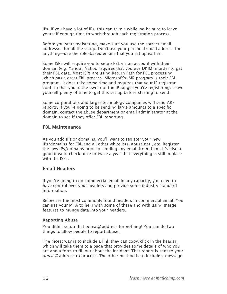IPs. If you have a lot of IPs, this can take a while, so be sure to leave yourself enough time to work through each registration process.

Before you start registering, make sure you use the correct email addresses for all the setup. Don't use your personal email address for anything—use the role-based emails that you set up earlier.

Some ISPs will require you to setup FBL via an account with their domain (e.g. Yahoo). Yahoo requires that you use DKIM in order to get their FBL data. Most ISPs are using Return Path for FBL processing, which has a great FBL process. Microsoft's JMR program is their FBL program. It does take some time and requires that your IP registrar confirm that you're the owner of the IP ranges you're registering. Leave yourself plenty of time to get this set up before starting to send.

Some corporations and larger technology companies will send ARF reports. If you're going to be sending large amounts to a specific domain, contact the abuse department or email administrator at the domain to see if they offer FBL reporting.

### **FBL Maintenance**

As you add IPs or domains, you'll want to register your new IPs/domains for FBL and all other whitelists, abuse.net , etc. Register the new IPs/domains prior to sending any email from them. It's also a good idea to check once or twice a year that everything is still in place with the ISPs.

### **Email Headers**

If you're going to do commercial email in any capacity, you need to have control over your headers and provide some industry standard information.

Below are the most commonly found headers in commercial email. You can use your MTA to help with some of these and with using merge features to munge data into your headers.

#### **Reporting Abuse**

You didn't setup that *abuse@* address for nothing! You can do two things to allow people to report abuse.

The nicest way is to include a link they can copy/click in the header, which will take them to a page that provides some details of who you are and a form to fill out about the incident. That report is sent to your abuse@ address to process. The other method is to include a message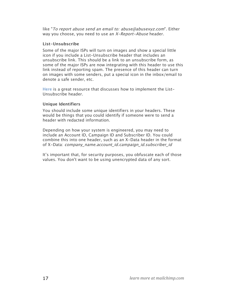like "To report abuse send an email to: abuse@abusexyz.com". Either way you choose, you need to use an X-Report-Abuse header.

#### **List-Unsubscribe**

Some of the major ISPs will turn on images and show a special little icon if you include a List-Unsubscribe header that includes an unsubscribe link. This should be a link to an unsubscribe form, as some of the major ISPs are now integrating with this header to use this link instead of reporting spam. The presence of this header can turn on images with some senders, put a special icon in the inbox/email to denote a safe sender, etc.

[Here](http://www.list-unsubscribe.com/) is a great resource that discusses how to implement the List-Unsubscribe header.

#### **Unique Identifiers**

You should include some unique identifiers in your headers. These would be things that you could identify if someone were to send a header with redacted information.

Depending on how your system is engineered, you may need to include an Account ID, Campaign ID and Subscriber ID. You could combine this into one header, such as an X-Data header in the format of X-Data: company name.account id.campaign id.subscriber id

It's important that, for security purposes, you obfuscate each of those values. You don't want to be using unencrypted data of any sort.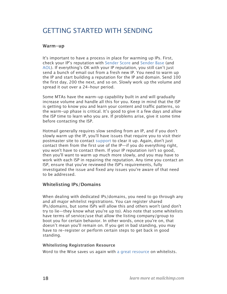# GETTING STARTED WITH SENDING

# **Warm-up**

It's important to have a process in place for warming up IPs. First, check your IP's reputation with [Sender Score](https://senderscore.org/) and [Sender Base](https://senderscore.org/) (and [AOL](http://postmaster.aol.com/cgi-bin/plugh/check_ip.pl)). If everything's OK with your IP reputation, you still can't just send a bunch of email out from a fresh new IP. You need to warm up the IP and start building a reputation for the IP and domain. Send 100 the first day, 200 the next, and so on. Slowly work up the volume and spread it out over a 24-hour period.

Some MTAs have the warm-up capability built in and will gradually increase volume and handle all this for you. Keep in mind that the ISP is getting to know you and learn your content and traffic patterns, so the warm-up phase is critical. It's good to give it a few days and allow the ISP time to learn who you are. If problems arise, give it some time before contacting the ISP.

Hotmail generally requires slow sending from an IP, and if you don't slowly warm up the IP, you'll have issues that require you to visit their postmaster site to contact support to clear it up. Again, don't just contact them from the first use of the IP—if you do everything right, you won't have to contact them. If your IP reputation isn't so good, then you'll want to warm up much more slowly, and you may have to work with each ISP in repairing the reputation. Any time you contact an ISP, ensure that you've reviewed the ISP's requirements, fully investigated the issue and fixed any issues you're aware of that need to be addressed.

# **Whitelisting IPs/Domains**

When dealing with dedicated IPs/domains, you need to go through any and all major whitelist registrations. You can register shared IPs/domains, but some ISPs will allow this and others won't (and don't try to lie—they know what you're up to). Also note that some whitelists have terms of service/use that allow the listing company/group to boot you for certain behavior. In other words, once you're on, that doesn't mean you'll remain on. If you get in bad standing, you may have to re-register or perform certain steps to get back in good standing.

#### **Whitelisting Registration Resource**

Word to the Wise saves us again with [a great resource](http://blog.wordtothewise.com/isp-information/) on whitelists.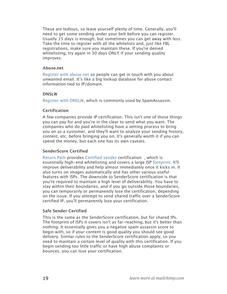These are tedious, so leave yourself plenty of time. Generally, you'll need to get some sending under your belt before you can register. Usually 15 days is enough, but sometimes you can get away with less. Take the time to register with all the whitelists and, just like FBL registrations, make sure you maintain these. If you're denied whitelisting, try again in 30 days ONLY if your sending quality improves.

#### **Abuse.net**

[Register with abuse.net s](http://abuse.net/addnew.phtml)o people can get in touch with you about unwanted email. It's like a big lookup database for abuse contact information tied to IP/domain.

#### **DNSLW**

[Register with](http://www.dnswl.org/) DNSLW, which is commonly used by SpamAssassin.

### **Certification**

A few companies provide IP certification. This isn't one of those things you can pay for and you're in the clear to send what you want. The companies who do paid whitelisting have a vetting process to bring you on as a customer, and they'll want to analyze your sending history, content, etc. before bringing you on. It's generally worth it if you can spend the money, but each one has its own caveats.

### **SenderScore Certified**

[Return Path](http://www.returnpath.net/) provides [Certified sender](http://www.returnpath.net/commercialsender/certification/) certification , which is essentially high-end whitelisting and covers a large ISP [footprint.](http://www.returnpath.net/commercialsender/certification/lib/documents/Certification_Footprint_v050509.pdf) It'll improve deliverability and help almost immediately once it kicks in. It also turns on images automatically and has other various useful features with ISPs. The downside to SenderScore certification is that you're required to maintain a high level of deliverability. You have to stay within their boundaries, and if you go outside those boundaries, you can temporarily or permanently lose the certification, depending on the issue. If you attempt to send shared traffic over a SenderScore certified IP, you'll permanently lose your certification.

### **Safe Sender Certified**

This is the same as the SenderScore certification, but for shared IPs. The footprint of ISPs it covers isn't as far-reaching, but it's better than nothing. It essentially gives you a negative spam assassin score to begin with, so if your content is good quality you should see good delivery. Similar rules to the SenderScore certification apply, so you need to maintain a certain level of quality with this certification. If you begin sending too little traffic or have high abuse complaints or bounces, you can lose your certification.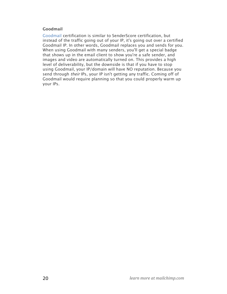#### **Goodmail**

[Goodmail](http://www.goodmailsystems.com/) certification is similar to SenderScore certification, but instead of the traffic going out of your IP, it's going out over a certified Goodmail IP. In other words, Goodmail replaces you and sends for you. When using Goodmail with many senders, you'll get a special badge that shows up in the email client to show you're a safe sender, and images and video are automatically turned on. This provides a high level of deliverability, but the downside is that if you have to stop using Goodmail, your IP/domain will have NO reputation. Because you send through their IPs, your IP isn't getting any traffic. Coming off of Goodmail would require planning so that you could properly warm up your IPs.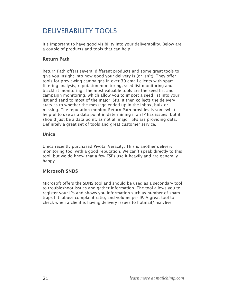# DELIVERABILITY TOOLS

It's important to have good visibility into your deliverability. Below are a couple of products and tools that can help.

# **Return Path**

Return Path offers several different products and some great tools to give you insight into how good your delivery is (or isn't). They offer tools for previewing campaigns in over 30 email clients with spam filtering analysis, reputation monitoring, seed list monitoring and blacklist monitoring. The most valuable tools are the seed list and campaign monitoring, which allow you to import a seed list into your list and send to most of the major ISPs. It then collects the delivery stats as to whether the message ended up in the inbox, bulk or missing. The reputation monitor Return Path provides is somewhat helpful to use as a data point in determining if an IP has issues, but it should just be a data point, as not all major ISPs are providing data. Definitely a great set of tools and great customer service.

# **Unica**

Unica recently purchased Pivotal Veracity. This is another delivery monitoring tool with a good reputation. We can't speak directly to this tool, but we do know that a few ESPs use it heavily and are generally happy.

# **Microsoft SNDS**

Microsoft offers the SDNS tool and should be used as a secondary tool to troubleshoot issues and gather information. The tool allows you to register your IPs and shows you information such as number of spam traps hit, abuse complaint ratio, and volume per IP. A great tool to check when a client is having delivery issues to hotmail/msn/live.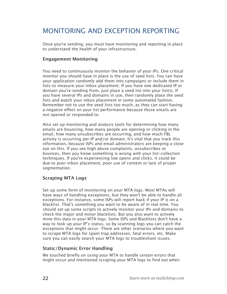# MONITORING AND EXCEPTION REPORTING

Once you're sending, you must have monitoring and reporting in place to understand the health of your infrastructure.

# **Engagement Monitoring**

You need to continuously monitor the behavior of your IPs. One critical monitor you should have in place is the use of seed lists. You can have your application randomly add them into campaigns or include them in lists to measure your inbox placement. If you have one dedicated IP or domain you're sending from, just place a seed list into your list(s). If you have several IPs and domains in use, then randomly place the seed lists and watch your inbox placement in some automated fashion. Remember not to use the seed lists too much, as they can start having a negative effect on your list performance because those emails are not opened or responded to.

Also set up monitoring and analysis tools for determining how many emails are bouncing, how many people are opening or clicking in the email, how many unsubscribes are occurring, and how much FBL activity is occurring per IP and/or domain. It's vital that you track this information, because ISPs and email administrators are keeping a close eye on this. If you see high abuse complaints, unsubscribes or bounces, then you know something is wrong with your list-collection techniques. If you're experiencing low opens and clicks, it could be due to poor inbox placement, poor use of content or lack of proper segmentation.

# **Scraping MTA Logs**

Set up some form of monitoring on your MTA logs. Most MTAs will have ways of handling exceptions, but they won't be able to handle all exceptions. For instance, some ISPs will report back if your IP is on a blacklist. That's something you want to be aware of in real time. You should set up some scripts to actively monitor your IPs and domains to check the major and minor blacklists. But you also want to actively mine this data in your MTA logs. Some ISPs and Blacklists don't have a way to look up your IP's status, so by scanning logs you can catch the exceptions that might occur. There are other scenarios where you want to scrape MTA logs for spam trap addresses, fatal errors, etc. Make sure you can easily search your MTA logs to troubleshoot issues.

# **Static/Dynamic Error Handling**

We touched briefly on using your MTA to handle certain errors that might occur and mentioned scraping your MTA logs to find out when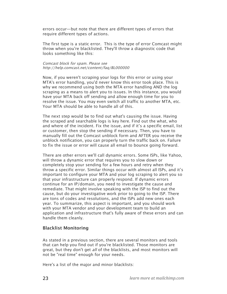errors occur—but note that there are different types of errors that require different types of actions.

The first type is a static error. This is the type of error Comcast might throw when you're blacklisted. They'll throw a diagnostic code that looks something like this:

#### Comcast block for spam. Please see http://help.comcast.net/content/faq/BL000000

Now, if you weren't scraping your logs for this error or using your MTA's error handling, you'd never know this error took place. This is why we recommend using both the MTA error handling AND the log scraping as a means to alert you to issues. In this instance, you would have your MTA back off sending and allow enough time for you to resolve the issue. You may even switch all traffic to another MTA, etc. Your MTA should be able to handle all of this.

The next step would be to find out what's causing the issue. Having the scraped and searchable logs is key here. Find out the what, who and where of the incident. Fix the issue, and if it's a specific email, list or customer, then stop the sending if necessary. Then, you have to manually fill out the Comcast unblock form and AFTER you receive the unblock notification, you can properly turn the traffic back on. Failure to fix the issue or error will cause all email to bounce going forward.

There are other errors we'll call dynamic errors. Some ISPs, like Yahoo, will throw a dynamic error that requires you to slow down or completely stop your sending for a few hours and retry when they throw a specific error. Similar things occur with almost all ISPs, and it's important to configure your MTA and your log scraping to alert you so that your infrastructure can properly respond. If dynamic errors continue for an IP/domain, you need to investigate the cause and remediate. That might involve speaking with the ISP to find out the cause, but do your investigative work prior to going to the ISP. There are tons of codes and resolutions, and the ISPs add new ones each year. To summarize, this aspect is important, and you should work with your MTA vendor and your development team to build an application and infrastructure that's fully aware of these errors and can handle them cleanly.

#### **Blacklist Monitoring**

As stated in a previous section, there are several monitors and tools that can help you find out if you're blacklisted. Those monitors are great, but they don't get all of the blacklists, and most monitors will not be "real time" enough for your needs.

Here's a list of the major and minor blacklists: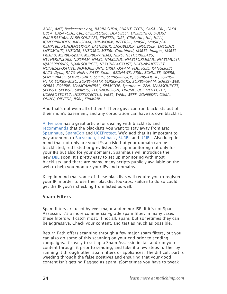AHBL, ANT, Backscatter.org, BARRACUDA, BURNT-TECH, CASA-CBL, CASA-CBL+, CASA-CDL, CBL, CYBERLOGIC, DEADBEEF, DNSBLINFO, DULRU, EMAILBASURA, FABELSOURCES, FIVETEN, GIRL, GRIP, HIL, HIL, HILLI, ICMFORBIDDEN, IMP-SPAM, IMP-WORM, INTERSIL, ivmSIP, ivmSIP/24, KEMPTBL, KUNDENSERVER, LASHBACK, LNSGBLOCK, LNSGBULK, LNSGDUL, LNSGMULTI, LNSGOR, LNSGSRC, MSRBL-Combined, MSRBL-Images, MSRBL-Phising, MSRBL-Spam, MSRBL-Viruses, NERD, NETHERRELAYS, NETHERUNSURE, NIXSPAM, NJABL, NJABLDUL, NJABLFORMMAIL, NJABLMULTI, NJABLPROXIES, NJABLSOURCES, NLKUNBLACKLIST, NLKUNWHITELIST, NOFALSEPOSITIVE, NOMOREFUNN, ORID, OSPAM, PDL, PSBL, RANGERSBL, RATS-Dyna, RATS-NoPtr, RATS-Spam, REDHAWK, RRBL, SCHULTE, SDERB, SENDERBASE, SERVICESNET, SOLID, SORBS-BLOCK, SORBS-DUHL, SORBS-HTTP, SORBS-MISC, SORBS-SMTP, SORBS-SOCKS, SORBS-SPAM, SORBS-WEB, SORBS-ZOMBIE, SPAMCANNIBAL, SPAMCOP, Spamhaus-ZEN, SPAMSOURCES, SPEWS1, SPEWS2, SWINOG, TECHNOVISION, TRIUMF, UCEPROTECTL1, UCEPROTECTL2, UCEPROTECTL3, VIRBL, WPBL, WSFF, ZONEEDIT, CSMA, DUINV, ORVEDB, RSBL, SPAMRBL

And that's not even all of them! There guys can run blacklists out of their mom's basement, and any corporation can have its own blacklist.

[Al Iverson](http://www.spamresource.com/) has a great article for dealing with blacklists and [recommends](http://www.spamresource.com/2009/10/top-five-tips-for-dealing-with.html) that the blacklists you want to stay away from are: [Spamhaus](http://www.spamhaus.org/), [SpamCop](http://www.spamcop.net/) an[d UCEProtect.](http://www.uceprotect.net/en/index.php) We'd add that its important to pay attention to [Barracuda](http://barracudacentral.org/), [Lashback,](http://www.lashback.com/) [SURBL](http://www.surbl.org/) and [URIBL](http://uribl.com/). Also keep in mind that not only are your IPs at risk, but your domain can be blacklisted, red listed or grey listed. Set up monitoring not only for your IPs but also for your domains. Spamhaus will introduce the new [DBL](http://www.spamhaus.org/dbl/) soon. It's pretty easy to set up monitoring with most blacklists, and there are many, many scripts publicly available on the web to help you monitor your IPs and domains.

Keep in mind that some of these blacklists will require you to register your IP in order to use their blacklist lookups. Failure to do so could get the IP you're checking from listed as well.

#### **Spam Filters**

Spam filters are used by ever major and minor ISP. If it's not Spam Assassin, it's a more commercial-grade spam filter. In many cases these filters will catch most, if not all, spam, but sometimes they can be aggressive. Check your content, and test as much as possible.

Return Path offers scanning through a few major spam filters, but you can also do some of this scanning on your end prior to sending campaigns. It's easy to set up a Spam Assassin install and run your content through it prior to sending, and take it a few steps further by running it through other spam filters or appliances. The difficult part is weeding through the false positives and ensuring that your good content isn't getting flagged as spam. (Sometimes you have to tweak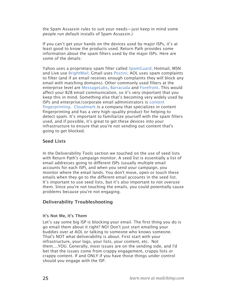the Spam Assassin rules to suit your needs—just keep in mind some people run default installs of Spam Assassin.)

If you can't get your hands on the devices used by major ISPs, it's at least good to know the products used. Return Path provides some information about the spam filters used by the major ISPs. Here are some of the details:

Yahoo uses a proprietary spam filter called [SpamGuard;](http://antispam.yahoo.com/spamguard) Hotmail, MSN and Live use [BrightMail](http://www.symantec.com/business/products/family.jsp?familyid=brightmail); Gmail uses [Postini;](http://www.google.com/postini/) AOL uses spam complaints to filter (and if an email receives enough complaints they will block any email with matching domains). Other commonly used filters at the enterprise level are [MessageLabs,](http://www.messagelabs.com/) [Barracuda](http://www.barracudanetworks.com/ns/?L=en) and [Forefront](http://www.microsoft.com/forefront/serversecurity/exchange/en/us/default.aspx). This would affect your B2B email communication, so it's very important that you keep this in mind. Something else that's becoming very widely used by ISPs and enterprise/corporate email administrators is [content](http://www.mailchimp.com/blog/cloudmark-fingerprinting-algorithm/)  [fingerprinting](http://www.mailchimp.com/blog/cloudmark-fingerprinting-algorithm/). [Cloudmark](http://www.cloudmark.com/en/home.html) is a company that specializes in content fingerprinting and has a very high-quality product for helping to detect spam. It's important to familiarize yourself with the spam filters used, and if possible, it's great to get these devices into your infrastructure to ensure that you're not sending out content that's going to get blocked.

# **Seed Lists**

In the Deliverability Tools section we touched on the use of seed lists with Return Path's campaign monitor. A seed list is essentially a list of email addresses going to different ISPs (usually multiple email accounts for each ISP), and when you send your campaign, you monitor where the email lands. You don't move, open or touch these emails when they go to the different email accounts in the seed list. It's important to use seed lists, but it's also important to not overuse them. Since you're not touching the emails, you could potentially cause problems because you're not engaging.

# **Deliverability Troubleshooting**

### **It's Not Me, It's Them**

Let's say some big ISP is blocking your email. The first thing you do is go email them about it right? NO! Don't just start emailing your buddies over at AOL or talking to someone who knows someone. That's NOT what deliverability is about. First start with your infrastructure, your logs, your lists, your content, etc. Not them....YOU. Generally, most issues are on the sending side, and I'd bet that the issues come from crappy engagement, crappy lists or crappy content. If and ONLY if you have those things under control should you engage with the ISP.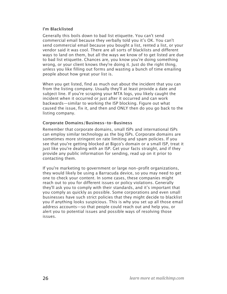#### **I'm Blacklisted**

Generally this boils down to bad list etiquette. You can't send commercial email because they verbally told you it's OK. You can't send commercial email because you bought a list, rented a list, or your vendor said it was cool. There are all sorts of blacklists and different ways to land on them, but all the ways we know of to get listed are due to bad list etiquette. Chances are, you know you're doing something wrong, or your client knows they're doing it. Just do the right thing, unless you like filling out forms and wasting a bunch of time emailing people about how great your list is.

When you get listed, find as much out about the incident that you can from the listing company. Usually they'll at least provide a date and subject line. If you're scraping your MTA logs, you likely caught the incident when it occurred or just after it occurred and can work backwards—similar to working the ISP blocking. Figure out what caused the issue, fix it, and then and ONLY then do you go back to the listing company.

#### **Corporate Domains/Business-to-Business**

Remember that corporate domains, small ISPs and international ISPs can employ similar technology as the big ISPs. Corporate domains are sometimes more stringent on rate limiting and spam policies. If you see that you're getting blocked at Bigco's domain or a small ISP, treat it just like you're dealing with an ISP. Get your facts straight, and if they provide any public information for sending, read up on it prior to contacting them.

If you're marketing to government or large non-profit organizations, they would likely be using a Barracuda device, so you may need to get one to check your content. In some cases, these companies might reach out to you for different issues or policy violations. Generally they'll ask you to comply with their standards, and it's important that you comply as quickly as possible. Some corporations and even small businesses have such strict policies that they might decide to blacklist you if anything looks suspicious. This is why you set up all those email address accounts—so that people could reach out and help you, or alert you to potential issues and possible ways of resolving those issues.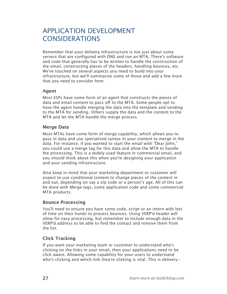# APPLICATION DEVELOPMENT **CONSIDERATIONS**

Remember that your delivery infrastructure is not just about some servers that are configured with DNS and run an MTA. There's software and code that generally has to be written to handle the construction of the email, constructing pieces of the headers, handling bounces, etc. We've touched on several aspects you need to build into your infrastructure, but we'll summarize some of those and add a few more that you need to consider here:

# **Agent**

Most ESPs have some form of an agent that constructs the pieces of data and email content to pass off to the MTA. Some people opt to have the agent handle merging the data into the template and sending to the MTA for sending. Others supply the data and the content to the MTA and let the MTA handle the merge process.

# **Merge Data**

Most MTAs have some form of merge capability, which allows you to pass in data and use specialized syntax in your content to merge in the data. For instance, if you wanted to start the email with "Dear John," you could use a merge tag for this data and allow the MTA to handle the processing. This is a widely used feature in commercial email, and you should think about this when you're designing your application and your sending infrastructure.

Also keep in mind that your marketing department or customer will expect to use conditional content to change pieces of the content in and out, depending on say a zip code or a person's age. All of this can be done with Merge tags, some application code and some commercial MTA products.

# **Bounce Processing**

You'll need to ensure you have some code, script or an intern with lots of time on their hands to process bounces. Using VERP'd header will allow for easy processing, but remember to include enough data in the VERP'd address to be able to find the contact and remove them from the list.

# **Click Tracking**

If you want your marketing team or customer to understand who's clicking on the links in your email, then your applications need to be click aware. Allowing some capability for your users to understand who's clicking and which link they're clicking is vital. This is delivery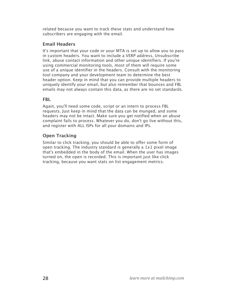related because you want to track these stats and understand how subscribers are engaging with the email.

# **Email Headers**

It's important that your code or your MTA is set up to allow you to pass in custom headers. You want to include a VERP address, Unsubscribe link, abuse contact information and other unique identifiers. If you're using commercial monitoring tools, most of them will require some use of a unique identifier in the headers. Consult with the monitoring tool company and your development team to determine the best header option. Keep in mind that you can provide multiple headers to uniquely identify your email, but also remember that bounces and FBL emails may not always contain this data, as there are no set standards.

# **FBL**

Again, you'll need some code, script or an intern to process FBL requests. Just keep in mind that the data can be munged, and some headers may not be intact. Make sure you get notified when an abuse complaint fails to process. Whatever you do, don't go live without this, and register with ALL ISPs for all your domains and IPs.

# **Open Tracking**

Similar to click tracking, you should be able to offer some form of open tracking. The industry standard is generally a 1x1 pixel image that's embedded in the body of the email. When the user has images turned on, the open is recorded. This is important just like click tracking, because you want stats on list engagement metrics.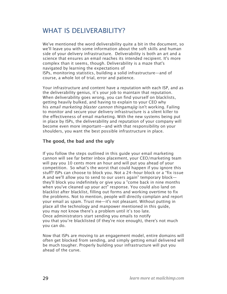# WHAT IS DELIVERABILITY?

We've mentioned the word deliverability quite a bit in the document, so we'll leave you with some information about the soft skills and human side of your delivery infrastructure. Deliverability is both an art and a science that ensures an email reaches its intended recipient. It's more complex than it seems, though. Deliverability is a maze that's navigated by learning the expectations of ISPs, monitoring statistics, building a solid infrastructure—and of course, a whole lot of trial, error and patience.

Your infrastructure and content have a reputation with each ISP, and as the deliverability genius, it's your job to maintain that reputation. When deliverability goes wrong, you can find yourself on blacklists, getting heavily bulked, and having to explain to your CEO why his email marketing blaster cannon thingamajig isn't working. Failing to monitor and secure your delivery infrastructure is a silent killer to the effectiveness of email marketing. With the new systems being put in place by ISPs, the deliverability and reputation of your company will become even more important—and with that responsibility on your shoulders, you want the best possible infrastructure in place.

## **The good, the bad and the ugly**

If you follow the steps outlined in this guide your email marketing cannon will see far better inbox placement, your CEO/marketing team will pay you 10 cents more an hour and will put you ahead of your competition. So what's the worst that could happen if you ignore this stuff? ISPs can choose to block you. Not a 24-hour block or a "fix issue A and we'll allow you to send to our users again" temporary block they'll block you indefinitely or give you a "come back in nine months when you've cleaned up your act" response. You could also land on blacklist after blacklist, filling out forms and working overtime to fix the problems. Not to mention, people will directly complain and report your email as spam. Trust me—it's not pleasant. Without putting in place all the technology and manpower mentioned in this guide, you may not know there's a problem until it's too late. Once administrators start sending you emails to notify you that you're blacklisted (if they're nice enough), there's not much you can do.

Now that ISPs are moving to an engagement model, entire domains will often get blocked from sending, and simply getting email delivered will be much tougher. Properly building your infrastructure will put you ahead of the curve.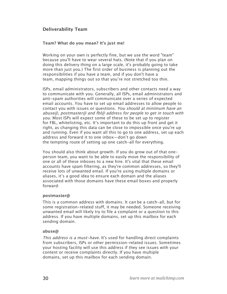# **Deliverability Team**

#### **Team? What do you mean? It's just me!**

Working on your own is perfectly fine, but we use the word "team" because you'll have to wear several hats. (Note that if you plan on doing this delivery thing on a large scale, it's probably going to take more than just you.) The first order of business is planning out the responsibilities if you have a team, and if you don't have a team, mapping things out so that you're not stretched too thin.

ISPs, email administrators, subscribers and other contacts need a way to communicate with you. Generally, all ISPs, email administrators and anti-spam authorities will communicate over a series of expected email accounts. You have to set up email addresses to allow people to contact you with issues or questions. You should at minimum have an abuse $@$ , postmaster $@$  and fbl $@$  address for people to get in touch with you. Most ISPs will expect some of these to be set up to register for FBL, whitelisting, etc. It's important to do this up front and get it right, as changing this data can be close to impossible once you're up and running. Even if you want all this to go to one address, set up each address and forward it to one inbox—don't go down the tempting route of setting up one catch-all for everything.

You should also think about growth. If you do grow out of that oneperson team, you want to be able to easily move the responsibility of one or all of these inboxes to a new hire. It's vital that these email accounts have spam filtering, as they're common addresses, so they'll receive lots of unwanted email. If you're using multiple domains or aliases, it's a good idea to ensure each domain and the aliases associated with those domains have these email boxes and properly forward:

#### **postmaster@**

This is a common address with domains. It can be a catch-all, but for some registration-related stuff, it may be needed. Someone receiving unwanted email will likely try to file a complaint or a question to this address. If you have multiple domains, set up this mailbox for each sending domain.

#### **abuse@**

This address is a must-have. It's used for handling direct complaints from subscribers, ISPs or other permission-related issues. Sometimes your hosting facility will use this address if they see issues with your content or receive complaints directly. If you have multiple domains, set up this mailbox for each sending domain.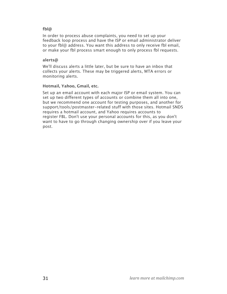## **fbl@**

In order to process abuse complaints, you need to set up your feedback loop process and have the ISP or email administrator deliver to your fbl@ address. You want this address to only receive fbl email, or make your fbl process smart enough to only process fbl requests.

#### **alerts@**

We'll discuss alerts a little later, but be sure to have an inbox that collects your alerts. These may be triggered alerts, MTA errors or monitoring alerts.

#### **Hotmail, Yahoo, Gmail, etc.**

Set up an email account with each major ISP or email system. You can set up two different types of accounts or combine them all into one, but we recommend one account for testing purposes, and another for support/tools/postmaster-related stuff with those sites. Hotmail SNDS requires a hotmail account, and Yahoo requires accounts to register FBL. Don't use your personal accounts for this, as you don't want to have to go through changing ownership over if you leave your post.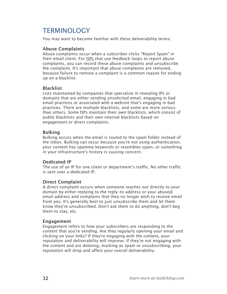# <span id="page-32-0"></span>**TERMINOLOGY**

You may want to become familiar with these deliverability terms:

# **Abuse Complaints**

Abuse complaints occur when a subscriber clicks "Report Spam" in their email client. For ISPs that use feedback loops to report abuse complaints, you can record these abuse complaints and unsubscribe the complaint. It's important that abuse complaints are removed, because failure to remove a complaint is a common reason for ending up on a blacklist.

# **Blacklist**

Lists maintained by companies that specialize in revealing IPs or domains that are either sending unsolicited email, engaging in bad email practices or associated with a website that's engaging in bad practices. There are multiple blacklists, and some are more serious than others. Some ISPs maintain their own blacklists, which consist of public blacklists and their own internal blacklists based on engagement or direct complaints.

## **Bulking**

Bulking occurs when the email is routed to the spam folder instead of the inbox. Bulking can occur because you're not using authentication, your content has spammy keywords or resembles spam, or something in your infrastructure's history is causing concern.

### **Dedicated IP**

The use of an IP for one client or department's traffic. No other traffic is sent over a dedicated IP.

# **Direct Complaint**

A direct complaint occurs when someone reaches out directly to your domain by either replying to the reply-to address or your abuse@ email address and complains that they no longer wish to receive email from you. It's generally best to just unsubscribe them and let them know they're unsubscribed. Don't ask them to do anything, don't beg them to stay, etc.

### **Engagement**

Engagement refers to how your subscribers are responding to the content that you're sending. Are they regularly opening your email and clicking on your links? If they're engaging with the content, your reputation and deliverability will improve. If they're not engaging with the content and are deleting, marking as spam or unsubscribing, your reputation will drop and affect your overall deliverability.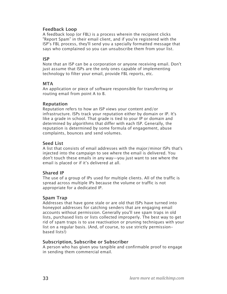## **Feedback Loop**

A feedback loop (or FBL) is a process wherein the recipient clicks "Report Spam" in their email client, and if you're registered with the ISP's FBL process, they'll send you a specially formatted message that says who complained so you can unsubscribe them from your list.

## **ISP**

Note that an ISP can be a corporation or anyone receiving email. Don't just assume that ISPs are the only ones capable of implementing technology to filter your email, provide FBL reports, etc.

### **MTA**

An application or piece of software responsible for transferring or routing email from point A to B.

## **Reputation**

Reputation refers to how an ISP views your content and/or infrastructure. ISPs track your reputation either by domain or IP. It's like a grade in school. That grade is tied to your IP or domain and determined by algorithms that differ with each ISP. Generally, the reputation is determined by some formula of engagement, abuse complaints, bounces and send volumes.

# **Seed List**

A list that consists of email addresses with the major/minor ISPs that's injected into the campaign to see where the email is delivered. You don't touch these emails in any way—you just want to see where the email is placed or if it's delivered at all.

# **Shared IP**

The use of a group of IPs used for multiple clients. All of the traffic is spread across multiple IPs because the volume or traffic is not appropriate for a dedicated IP.

# **Spam Trap**

Addresses that have gone stale or are old that ISPs have turned into honeypot addresses for catching senders that are engaging email accounts without permission. Generally you'll see spam traps in old lists, purchased lists or lists collected improperly. The best way to get rid of spam traps is to use reactivation or pruning techniques with your list on a regular basis. (And, of course, to use strictly permissionbased lists!)

### **Subscription, Subscribe or Subscriber**

A person who has given you tangible and confirmable proof to engage in sending them commercial email.